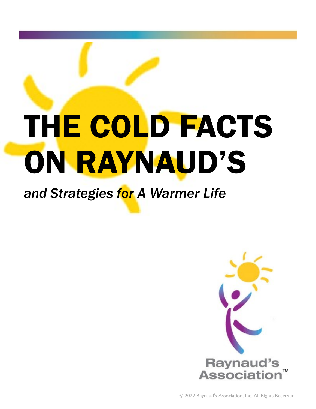# THE COLD FACTS ON RAYNAUD'S

### *and Strategies for A Warmer Life*

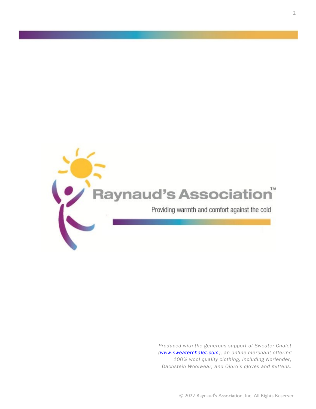![](_page_1_Picture_0.jpeg)

*Produced with the generous support of Sweater Chalet ([www.sweaterchalet.com\),](https://www.sweaterchalet.com/) an online merchant offering 100% wool quality clothing, including Norlender, Dachstein Woolwear, and Öjbro's gloves and mittens.*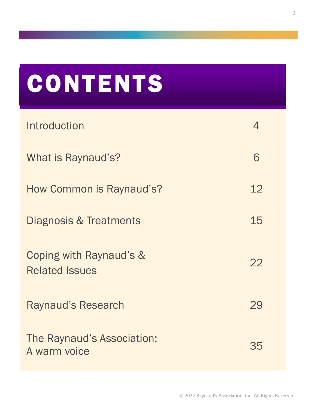### **CONTENTS**

| Introduction                                     |    |
|--------------------------------------------------|----|
| What is Raynaud's?                               | 6  |
| How Common is Raynaud's?                         | 12 |
| <b>Diagnosis &amp; Treatments</b>                | 15 |
| Coping with Raynaud's &<br><b>Related Issues</b> | 22 |
| <b>Raynaud's Research</b>                        | 29 |
| The Raynaud's Association:<br>A warm voice       | 35 |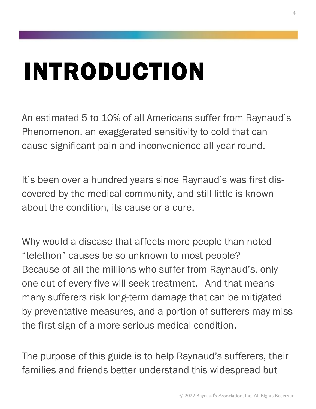### INTRODUCTION

An estimated 5 to 10% of all Americans suffer from Raynaud's Phenomenon, an exaggerated sensitivity to cold that can cause significant pain and inconvenience all year round.

It's been over a hundred years since Raynaud's was first discovered by the medical community, and still little is known about the condition, its cause or a cure.

Why would a disease that affects more people than noted "telethon" causes be so unknown to most people? Because of all the millions who suffer from Raynaud's, only one out of every five will seek treatment. And that means many sufferers risk long-term damage that can be mitigated by preventative measures, and a portion of sufferers may miss the first sign of a more serious medical condition.

The purpose of this guide is to help Raynaud's sufferers, their families and friends better understand this widespread but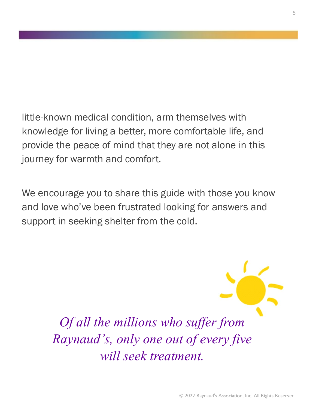little-known medical condition, arm themselves with knowledge for living a better, more comfortable life, and provide the peace of mind that they are not alone in this journey for warmth and comfort.

We encourage you to share this guide with those you know and love who've been frustrated looking for answers and support in seeking shelter from the cold.

> *Of all the millions who suffer from Raynaud's, only one out of every five will seek treatment.*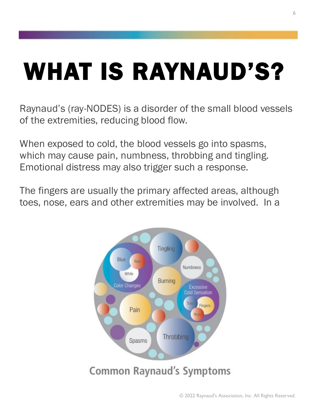## WHAT IS RAYNAUD'S?

Raynaud's (ray-NODES) is a disorder of the small blood vessels of the extremities, reducing blood flow.

When exposed to cold, the blood vessels go into spasms, which may cause pain, numbness, throbbing and tingling. Emotional distress may also trigger such a response.

The fingers are usually the primary affected areas, although toes, nose, ears and other extremities may be involved. In a

![](_page_5_Figure_4.jpeg)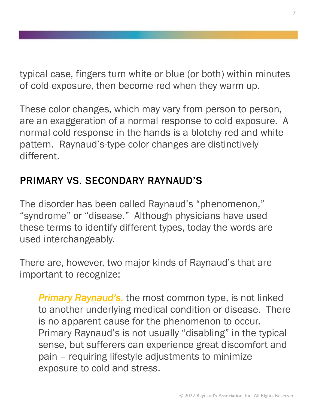typical case, fingers turn white or blue (or both) within minutes of cold exposure, then become red when they warm up.

These color changes, which may vary from person to person, are an exaggeration of a normal response to cold exposure. A normal cold response in the hands is a blotchy red and white pattern. Raynaud's-type color changes are distinctively different.

#### PRIMARY VS. SECONDARY RAYNAUD'S

The disorder has been called Raynaud's "phenomenon," "syndrome" or "disease." Although physicians have used these terms to identify different types, today the words are used interchangeably.

There are, however, two major kinds of Raynaud's that are important to recognize:

*Primary Raynaud's*, the most common type, is not linked to another underlying medical condition or disease. There is no apparent cause for the phenomenon to occur. Primary Raynaud's is not usually "disabling" in the typical sense, but sufferers can experience great discomfort and pain – requiring lifestyle adjustments to minimize exposure to cold and stress.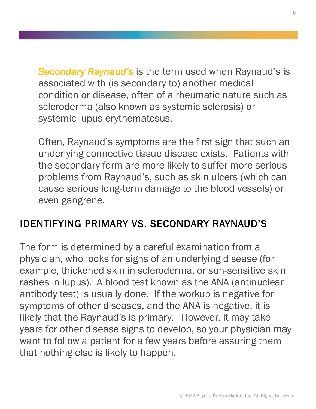*Secondary Raynaud's* is the term used when Raynaud's is associated with (is secondary to) another medical condition or disease, often of a rheumatic nature such as scleroderma (also known as systemic sclerosis) or systemic lupus erythematosus.

Often, Raynaud's symptoms are the first sign that such an underlying connective tissue disease exists. Patients with the secondary form are more likely to suffer more serious problems from Raynaud's, such as skin ulcers (which can cause serious long-term damage to the blood vessels) or even gangrene.

#### IDENTIFYING PRIMARY VS. SECONDARY RAYNAUD'S

The form is determined by a careful examination from a physician, who looks for signs of an underlying disease (for example, thickened skin in scleroderma, or sun-sensitive skin rashes in lupus). A blood test known as the ANA (antinuclear antibody test) is usually done. If the workup is negative for symptoms of other diseases, and the ANA is negative, it is likely that the Raynaud's is primary. However, it may take years for other disease signs to develop, so your physician may want to follow a patient for a few years before assuring them that nothing else is likely to happen.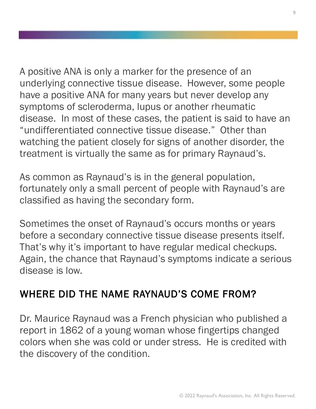A positive ANA is only a marker for the presence of an underlying connective tissue disease. However, some people have a positive ANA for many years but never develop any symptoms of scleroderma, lupus or another rheumatic disease. In most of these cases, the patient is said to have an "undifferentiated connective tissue disease." Other than watching the patient closely for signs of another disorder, the treatment is virtually the same as for primary Raynaud's.

As common as Raynaud's is in the general population, fortunately only a small percent of people with Raynaud's are classified as having the secondary form.

Sometimes the onset of Raynaud's occurs months or years before a secondary connective tissue disease presents itself. That's why it's important to have regular medical checkups. Again, the chance that Raynaud's symptoms indicate a serious disease is low.

#### WHERE DID THE NAME RAYNAUD'S COME FROM?

Dr. Maurice Raynaud was a French physician who published a report in 1862 of a young woman whose fingertips changed colors when she was cold or under stress. He is credited with the discovery of the condition.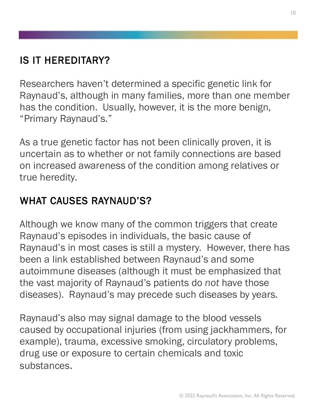#### IS IT HEREDITARY?

Researchers haven't determined a specific genetic link for Raynaud's, although in many families, more than one member has the condition. Usually, however, it is the more benign, "Primary Raynaud's."

As a true genetic factor has not been clinically proven, it is uncertain as to whether or not family connections are based on increased awareness of the condition among relatives or true heredity.

#### WHAT CAUSES RAYNAUD'S?

Although we know many of the common triggers that create Raynaud's episodes in individuals, the basic cause of Raynaud's in most cases is still a mystery. However, there has been a link established between Raynaud's and some autoimmune diseases (although it must be emphasized that the vast majority of Raynaud's patients do *not* have those diseases). Raynaud's may precede such diseases by years.

Raynaud's also may signal damage to the blood vessels caused by occupational injuries (from using jackhammers, for example), trauma, excessive smoking, circulatory problems, drug use or exposure to certain chemicals and toxic substances.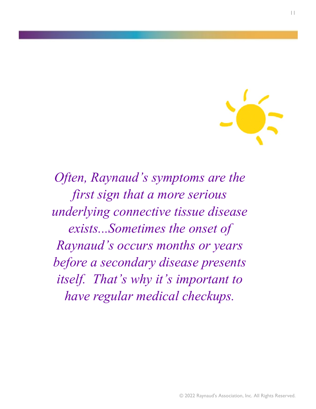![](_page_10_Picture_0.jpeg)

*Often, Raynaud's symptoms are the first sign that a more serious underlying connective tissue disease exists...Sometimes the onset of Raynaud's occurs months or years before a secondary disease presents itself. That's why it's important to have regular medical checkups.*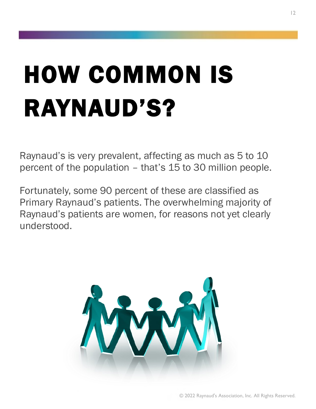## HOW COMMON IS RAYNAUD'S?

Raynaud's is very prevalent, affecting as much as 5 to 10 percent of the population – that's 15 to 30 million people.

Fortunately, some 90 percent of these are classified as Primary Raynaud's patients. The overwhelming majority of Raynaud's patients are women, for reasons not yet clearly understood.

![](_page_11_Picture_3.jpeg)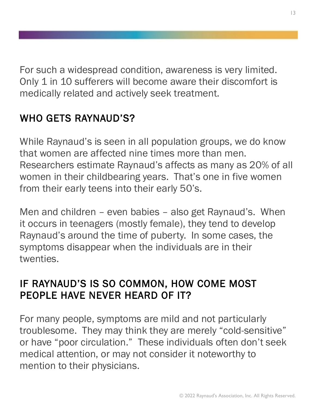For such a widespread condition, awareness is very limited. Only 1 in 10 sufferers will become aware their discomfort is medically related and actively seek treatment.

#### WHO GETS RAYNAUD'S?

While Raynaud's is seen in all population groups, we do know that women are affected nine times more than men. Researchers estimate Raynaud's affects as many as 20% of all women in their childbearing years. That's one in five women from their early teens into their early 50's.

Men and children – even babies – also get Raynaud's. When it occurs in teenagers (mostly female), they tend to develop Raynaud's around the time of puberty. In some cases, the symptoms disappear when the individuals are in their twenties.

#### IF RAYNAUD'S IS SO COMMON, HOW COME MOST PEOPLE HAVE NEVER HEARD OF IT?

For many people, symptoms are mild and not particularly troublesome. They may think they are merely "cold-sensitive" or have "poor circulation." These individuals often don't seek medical attention, or may not consider it noteworthy to mention to their physicians.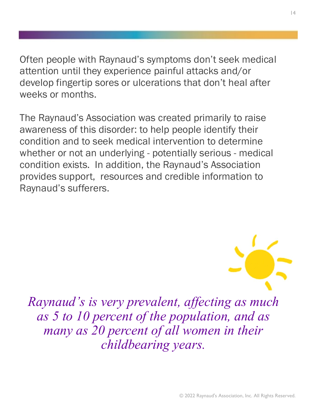Often people with Raynaud's symptoms don't seek medical attention until they experience painful attacks and/or develop fingertip sores or ulcerations that don't heal after weeks or months.

The Raynaud's Association was created primarily to raise awareness of this disorder: to help people identify their condition and to seek medical intervention to determine whether or not an underlying - potentially serious - medical condition exists. In addition, the Raynaud's Association provides support, resources and credible information to Raynaud's sufferers.

![](_page_13_Picture_2.jpeg)

*Raynaud's is very prevalent, affecting as much as 5 to 10 percent of the population, and as many as 20 percent of all women in their childbearing years.*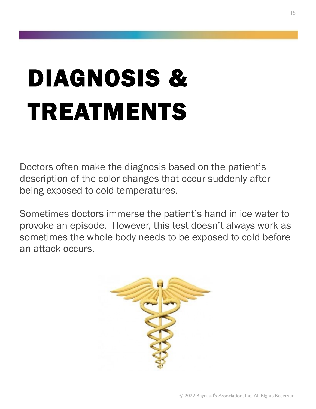# DIAGNOSIS & TREATMENTS

Doctors often make the diagnosis based on the patient's description of the color changes that occur suddenly after being exposed to cold temperatures.

Sometimes doctors immerse the patient's hand in ice water to provoke an episode. However, this test doesn't always work as sometimes the whole body needs to be exposed to cold before an attack occurs.

![](_page_14_Picture_3.jpeg)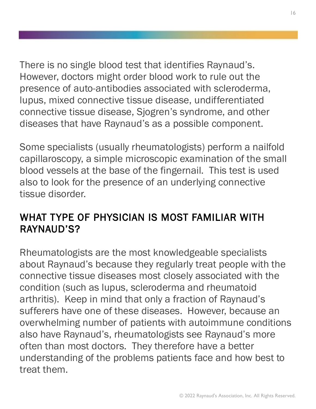There is no single blood test that identifies Raynaud's. However, doctors might order blood work to rule out the presence of auto-antibodies associated with scleroderma, lupus, mixed connective tissue disease, undifferentiated connective tissue disease, Sjogren's syndrome, and other diseases that have Raynaud's as a possible component.

Some specialists (usually rheumatologists) perform a nailfold capillaroscopy, a simple microscopic examination of the small blood vessels at the base of the fingernail. This test is used also to look for the presence of an underlying connective tissue disorder.

#### WHAT TYPE OF PHYSICIAN IS MOST FAMILIAR WITH RAYNAUD'S?

Rheumatologists are the most knowledgeable specialists about Raynaud's because they regularly treat people with the connective tissue diseases most closely associated with the condition (such as lupus, scleroderma and rheumatoid arthritis). Keep in mind that only a fraction of Raynaud's sufferers have one of these diseases. However, because an overwhelming number of patients with autoimmune conditions also have Raynaud's, rheumatologists see Raynaud's more often than most doctors. They therefore have a better understanding of the problems patients face and how best to treat them.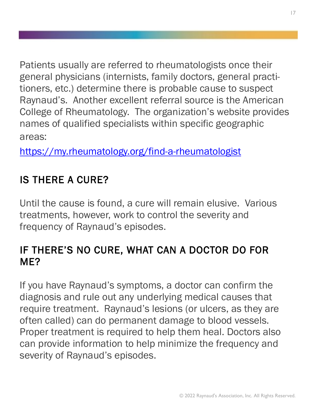Patients usually are referred to rheumatologists once their general physicians (internists, family doctors, general practitioners, etc.) determine there is probable cause to suspect Raynaud's. Another excellent referral source is the American College of Rheumatology. The organization's website provides names of qualified specialists within specific geographic areas:

<https://my.rheumatology.org/find-a-rheumatologist>

#### IS THERE A CURE?

Until the cause is found, a cure will remain elusive. Various treatments, however, work to control the severity and frequency of Raynaud's episodes.

#### IF THERE'S NO CURE, WHAT CAN A DOCTOR DO FOR ME?

If you have Raynaud's symptoms, a doctor can confirm the diagnosis and rule out any underlying medical causes that require treatment. Raynaud's lesions (or ulcers, as they are often called) can do permanent damage to blood vessels. Proper treatment is required to help them heal. Doctors also can provide information to help minimize the frequency and severity of Raynaud's episodes.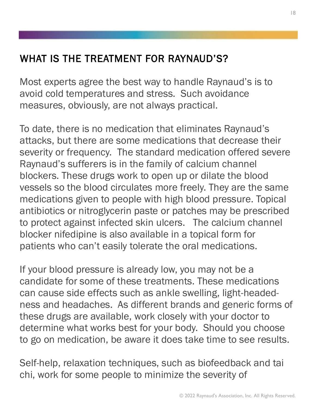#### WHAT IS THE TREATMENT FOR RAYNAUD'S?

Most experts agree the best way to handle Raynaud's is to avoid cold temperatures and stress. Such avoidance measures, obviously, are not always practical.

To date, there is no medication that eliminates Raynaud's attacks, but there are some medications that decrease their severity or frequency. The standard medication offered severe Raynaud's sufferers is in the family of calcium channel blockers. These drugs work to open up or dilate the blood vessels so the blood circulates more freely. They are the same medications given to people with high blood pressure. Topical antibiotics or nitroglycerin paste or patches may be prescribed to protect against infected skin ulcers. The calcium channel blocker nifedipine is also available in a topical form for patients who can't easily tolerate the oral medications.

If your blood pressure is already low, you may not be a candidate for some of these treatments. These medications can cause side effects such as ankle swelling, light-headedness and headaches. As different brands and generic forms of these drugs are available, work closely with your doctor to determine what works best for your body. Should you choose to go on medication, be aware it does take time to see results.

Self-help, relaxation techniques, such as biofeedback and tai chi, work for some people to minimize the severity of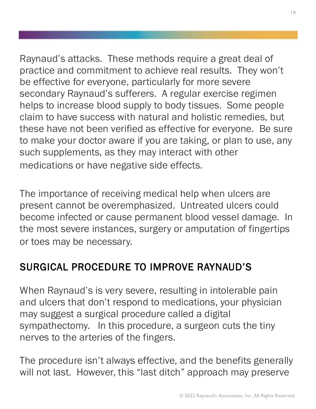Raynaud's attacks. These methods require a great deal of practice and commitment to achieve real results. They won't be effective for everyone, particularly for more severe secondary Raynaud's sufferers. A regular exercise regimen helps to increase blood supply to body tissues. Some people claim to have success with natural and holistic remedies, but these have not been verified as effective for everyone. Be sure to make your doctor aware if you are taking, or plan to use, any such supplements, as they may interact with other medications or have negative side effects.

The importance of receiving medical help when ulcers are present cannot be overemphasized. Untreated ulcers could become infected or cause permanent blood vessel damage. In the most severe instances, surgery or amputation of fingertips or toes may be necessary.

#### SURGICAL PROCEDURE TO IMPROVE RAYNAUD'S

When Raynaud's is very severe, resulting in intolerable pain and ulcers that don't respond to medications, your physician may suggest a surgical procedure called a digital sympathectomy. In this procedure, a surgeon cuts the tiny nerves to the arteries of the fingers.

The procedure isn't always effective, and the benefits generally will not last. However, this "last ditch" approach may preserve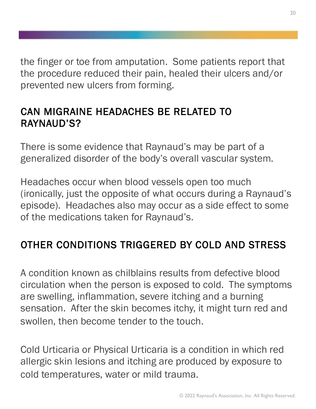the finger or toe from amputation. Some patients report that the procedure reduced their pain, healed their ulcers and/or prevented new ulcers from forming.

#### CAN MIGRAINE HEADACHES BE RELATED TO RAYNAUD'S?

There is some evidence that Raynaud's may be part of a generalized disorder of the body's overall vascular system.

Headaches occur when blood vessels open too much (ironically, just the opposite of what occurs during a Raynaud's episode). Headaches also may occur as a side effect to some of the medications taken for Raynaud's.

#### OTHER CONDITIONS TRIGGERED BY COLD AND STRESS

A condition known as chilblains results from defective blood circulation when the person is exposed to cold. The symptoms are swelling, inflammation, severe itching and a burning sensation. After the skin becomes itchy, it might turn red and swollen, then become tender to the touch.

Cold Urticaria or Physical Urticaria is a condition in which red allergic skin lesions and itching are produced by exposure to cold temperatures, water or mild trauma.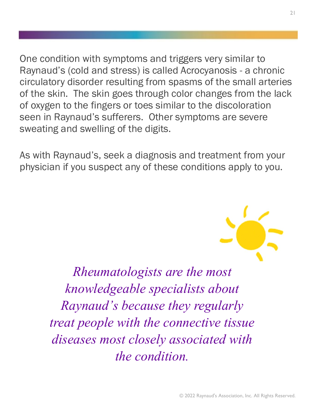One condition with symptoms and triggers very similar to Raynaud's (cold and stress) is called Acrocyanosis - a chronic circulatory disorder resulting from spasms of the small arteries of the skin. The skin goes through color changes from the lack of oxygen to the fingers or toes similar to the discoloration seen in Raynaud's sufferers. Other symptoms are severe sweating and swelling of the digits.

As with Raynaud's, seek a diagnosis and treatment from your physician if you suspect any of these conditions apply to you.

![](_page_20_Picture_2.jpeg)

*Rheumatologists are the most knowledgeable specialists about Raynaud's because they regularly treat people with the connective tissue diseases most closely associated with the condition.*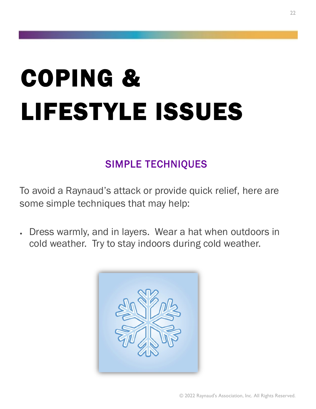# COPING & LIFESTYLE ISSUES

#### SIMPLE TECHNIQUES

To avoid a Raynaud's attack or provide quick relief, here are some simple techniques that may help:

• Dress warmly, and in layers. Wear a hat when outdoors in cold weather. Try to stay indoors during cold weather.

![](_page_21_Picture_4.jpeg)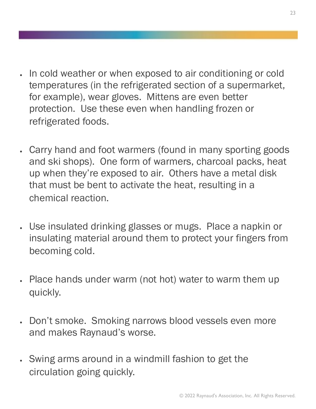- In cold weather or when exposed to air conditioning or cold temperatures (in the refrigerated section of a supermarket, for example), wear gloves. Mittens are even better protection. Use these even when handling frozen or refrigerated foods.
- Carry hand and foot warmers (found in many sporting goods and ski shops). One form of warmers, charcoal packs, heat up when they're exposed to air. Others have a metal disk that must be bent to activate the heat, resulting in a chemical reaction.
- Use insulated drinking glasses or mugs. Place a napkin or insulating material around them to protect your fingers from becoming cold.
- Place hands under warm (not hot) water to warm them up quickly.
- Don't smoke. Smoking narrows blood vessels even more and makes Raynaud's worse.
- Swing arms around in a windmill fashion to get the circulation going quickly.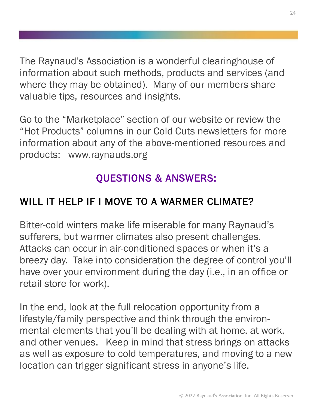The Raynaud's Association is a wonderful clearinghouse of information about such methods, products and services (and where they may be obtained). Many of our members share valuable tips, resources and insights.

Go to the "Marketplace" section of our website or review the "Hot Products" columns in our Cold Cuts newsletters for more information about any of the above-mentioned resources and products: www.raynauds.org

#### QUESTIONS & ANSWERS:

#### WILL IT HELP IF I MOVE TO A WARMER CLIMATE?

Bitter-cold winters make life miserable for many Raynaud's sufferers, but warmer climates also present challenges. Attacks can occur in air-conditioned spaces or when it's a breezy day. Take into consideration the degree of control you'll have over your environment during the day (i.e., in an office or retail store for work).

In the end, look at the full relocation opportunity from a lifestyle/family perspective and think through the environmental elements that you'll be dealing with at home, at work, and other venues. Keep in mind that stress brings on attacks as well as exposure to cold temperatures, and moving to a new location can trigger significant stress in anyone's life.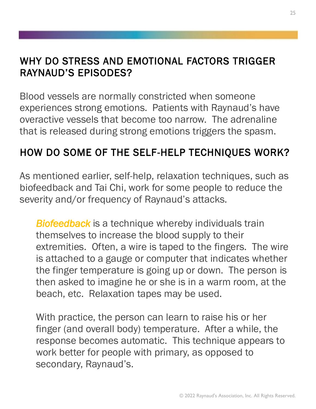#### WHY DO STRESS AND EMOTIONAL FACTORS TRIGGER RAYNAUD'S EPISODES?

Blood vessels are normally constricted when someone experiences strong emotions. Patients with Raynaud's have overactive vessels that become too narrow. The adrenaline that is released during strong emotions triggers the spasm.

#### HOW DO SOME OF THE SELF-HELP TECHNIQUES WORK?

As mentioned earlier, self-help, relaxation techniques, such as biofeedback and Tai Chi, work for some people to reduce the severity and/or frequency of Raynaud's attacks.

*Biofeedback* is a technique whereby individuals train themselves to increase the blood supply to their extremities. Often, a wire is taped to the fingers. The wire is attached to a gauge or computer that indicates whether the finger temperature is going up or down. The person is then asked to imagine he or she is in a warm room, at the beach, etc. Relaxation tapes may be used.

With practice, the person can learn to raise his or her finger (and overall body) temperature. After a while, the response becomes automatic. This technique appears to work better for people with primary, as opposed to secondary, Raynaud's.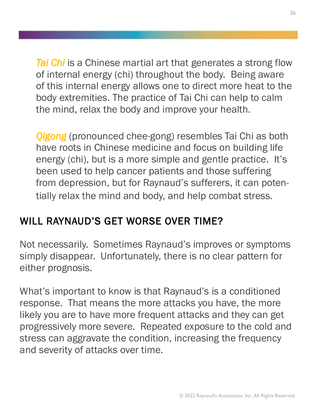*Tai Chi* is a Chinese martial art that generates a strong flow of internal energy (chi) throughout the body. Being aware of this internal energy allows one to direct more heat to the body extremities. The practice of Tai Chi can help to calm the mind, relax the body and improve your health.

*Qigong* (pronounced chee-gong) resembles Tai Chi as both have roots in Chinese medicine and focus on building life energy (chi), but is a more simple and gentle practice. It's been used to help cancer patients and those suffering from depression, but for Raynaud's sufferers, it can potentially relax the mind and body, and help combat stress.

#### WILL RAYNAUD'S GET WORSE OVER TIME?

Not necessarily. Sometimes Raynaud's improves or symptoms simply disappear. Unfortunately, there is no clear pattern for either prognosis.

What's important to know is that Raynaud's is a conditioned response. That means the more attacks you have, the more likely you are to have more frequent attacks and they can get progressively more severe. Repeated exposure to the cold and stress can aggravate the condition, increasing the frequency and severity of attacks over time.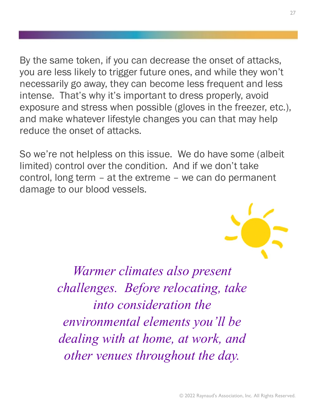By the same token, if you can decrease the onset of attacks, you are less likely to trigger future ones, and while they won't necessarily go away, they can become less frequent and less intense. That's why it's important to dress properly, avoid exposure and stress when possible (gloves in the freezer, etc.), and make whatever lifestyle changes you can that may help reduce the onset of attacks.

So we're not helpless on this issue. We do have some (albeit limited) control over the condition. And if we don't take control, long term – at the extreme – we can do permanent damage to our blood vessels.

![](_page_26_Picture_2.jpeg)

*Warmer climates also present challenges. Before relocating, take into consideration the environmental elements you'll be dealing with at home, at work, and other venues throughout the day.*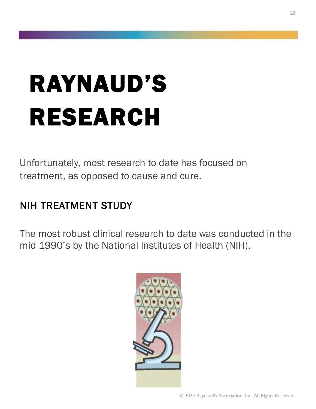## RAYNAUD'S RESEARCH

Unfortunately, most research to date has focused on treatment, as opposed to cause and cure.

#### NIH TREATMENT STUDY

The most robust clinical research to date was conducted in the mid 1990's by the National Institutes of Health (NIH).

![](_page_27_Picture_4.jpeg)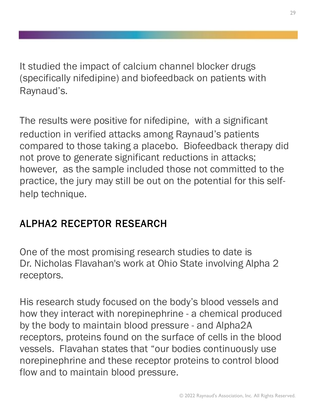It studied the impact of calcium channel blocker drugs (specifically nifedipine) and biofeedback on patients with Raynaud's.

The results were positive for nifedipine, with a significant reduction in verified attacks among Raynaud's patients compared to those taking a placebo. Biofeedback therapy did not prove to generate significant reductions in attacks; however, as the sample included those not committed to the practice, the jury may still be out on the potential for this selfhelp technique.

#### ALPHA2 RECEPTOR RESEARCH

One of the most promising research studies to date is Dr. Nicholas Flavahan's work at Ohio State involving Alpha 2 receptors.

His research study focused on the body's blood vessels and how they interact with norepinephrine - a chemical produced by the body to maintain blood pressure - and Alpha2A receptors, proteins found on the surface of cells in the blood vessels. Flavahan states that "our bodies continuously use norepinephrine and these receptor proteins to control blood flow and to maintain blood pressure.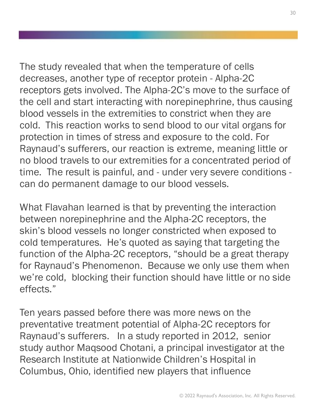The study revealed that when the temperature of cells decreases, another type of receptor protein - Alpha-2C receptors gets involved. The Alpha-2C's move to the surface of the cell and start interacting with norepinephrine, thus causing blood vessels in the extremities to constrict when they are cold. This reaction works to send blood to our vital organs for protection in times of stress and exposure to the cold. For Raynaud's sufferers, our reaction is extreme, meaning little or no blood travels to our extremities for a concentrated period of time. The result is painful, and - under very severe conditions can do permanent damage to our blood vessels.

What Flavahan learned is that by preventing the interaction between norepinephrine and the Alpha-2C receptors, the skin's blood vessels no longer constricted when exposed to cold temperatures. He's quoted as saying that targeting the function of the Alpha-2C receptors, "should be a great therapy for Raynaud's Phenomenon. Because we only use them when we're cold, blocking their function should have little or no side effects."

Ten years passed before there was more news on the preventative treatment potential of Alpha-2C receptors for Raynaud's sufferers. In a study reported in 2012, senior study author Maqsood Chotani, a principal investigator at the Research Institute at Nationwide Children's Hospital in Columbus, Ohio, identified new players that influence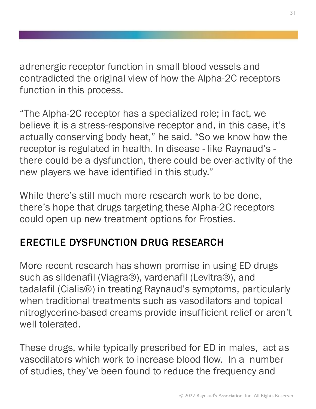adrenergic receptor function in small blood vessels and contradicted the original view of how the Alpha-2C receptors function in this process.

"The Alpha-2C receptor has a specialized role; in fact, we believe it is a stress-responsive receptor and, in this case, it's actually conserving body heat," he said. "So we know how the receptor is regulated in health. In disease - like Raynaud's there could be a dysfunction, there could be over-activity of the new players we have identified in this study."

While there's still much more research work to be done, there's hope that drugs targeting these Alpha-2C receptors could open up new treatment options for Frosties.

#### ERECTILE DYSFUNCTION DRUG RESEARCH

More recent research has shown promise in using ED drugs such as sildenafil (Viagra®), vardenafil (Levitra®), and tadalafil (Cialis®) in treating Raynaud's symptoms, particularly when traditional treatments such as vasodilators and topical nitroglycerine-based creams provide insufficient relief or aren't well tolerated.

These drugs, while typically prescribed for ED in males, act as vasodilators which work to increase blood flow. In a number of studies, they've been found to reduce the frequency and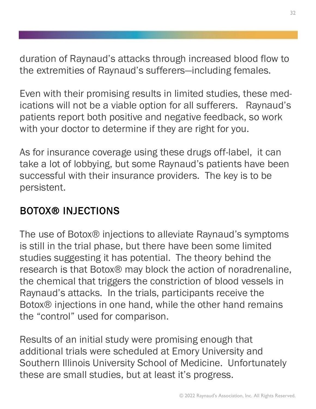duration of Raynaud's attacks through increased blood flow to the extremities of Raynaud's sufferers—including females.

Even with their promising results in limited studies, these medications will not be a viable option for all sufferers. Raynaud's patients report both positive and negative feedback, so work with your doctor to determine if they are right for you.

As for insurance coverage using these drugs off-label, it can take a lot of lobbying, but some Raynaud's patients have been successful with their insurance providers. The key is to be persistent.

#### BOTOX® INJECTIONS

The use of Botox® injections to alleviate Raynaud's symptoms is still in the trial phase, but there have been some limited studies suggesting it has potential. The theory behind the research is that Botox® may block the action of noradrenaline, the chemical that triggers the constriction of blood vessels in Raynaud's attacks. In the trials, participants receive the Botox® injections in one hand, while the other hand remains the "control" used for comparison.

Results of an initial study were promising enough that additional trials were scheduled at Emory University and Southern Illinois University School of Medicine. Unfortunately these are small studies, but at least it's progress.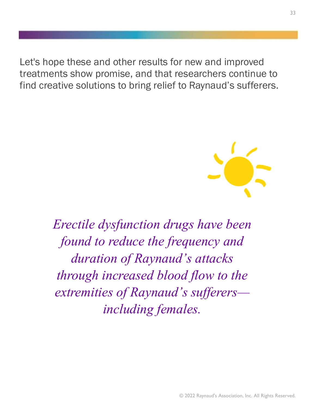Let's hope these and other results for new and improved treatments show promise, and that researchers continue to find creative solutions to bring relief to Raynaud's sufferers.

![](_page_32_Picture_1.jpeg)

*Erectile dysfunction drugs have been found to reduce the frequency and duration of Raynaud's attacks through increased blood flow to the extremities of Raynaud's sufferers including females.*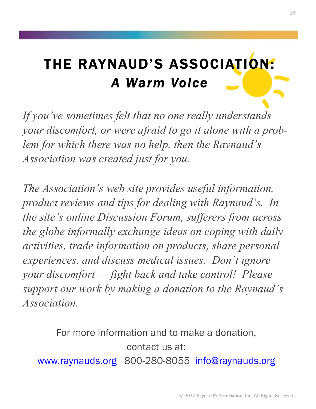### THE RAYNAUD'S ASSOCIATION: *A Warm Voice*

*If you've sometimes felt that no one really understands your discomfort, or were afraid to go it alone with a problem for which there was no help, then the Raynaud' s Association was created just for you.* 

*The Association's web site provides useful information, product reviews and tips for dealing with Raynaud's. In the site's online Discussion Forum, sufferers from across the globe informally exchange ideas on coping with daily activities, trade information on products, share personal experiences, and discuss medical issues. Don't ignore your discomfort — fight back and take control! Please support our work by making a donation to the Raynaud' s Association.*

For more information and to make a donation, contact us at: [www.raynauds.org](http://www.raynauds.org) 800-280-8055 [info@raynauds.org](mailto:info@raynauds.org)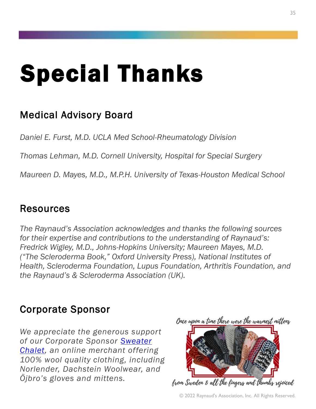### Special Thanks

#### Medical Advisory Board

*Daniel E. Furst, M.D. UCLA Med School-Rheumatology Division*

*Thomas Lehman, M.D. Cornell University, Hospital for Special Surgery* 

*Maureen D. Mayes, M.D., M.P.H. University of Texas-Houston Medical School* 

#### Resources

*The Raynaud's Association acknowledges and thanks the following sources for their expertise and contributions to the understanding of Raynaud's: Fredrick Wigley, M.D., Johns-Hopkins University; Maureen Mayes, M.D. ("The Scleroderma Book," Oxford University Press), National Institutes of Health, Scleroderma Foundation, Lupus Foundation, Arthritis Foundation, and the Raynaud's & Scleroderma Association (UK).*

#### Corporate Sponsor

*We appreciate the generous support of our Corporate Sponsor [Sweater](https://www.sweaterchalet.com/)  [Chalet,](https://www.sweaterchalet.com/) an online merchant offering 100% wool quality clothing, including Norlender, Dachstein Woolwear, and Öjbro's gloves and mittens.*

![](_page_34_Picture_9.jpeg)

![](_page_34_Picture_10.jpeg)

from Sweden & all the fingers and thumbs rejoiced